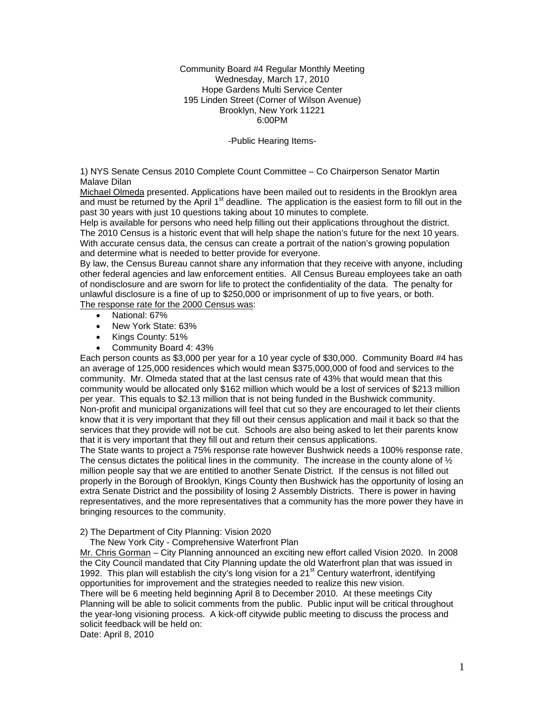Community Board #4 Regular Monthly Meeting Wednesday, March 17, 2010 Hope Gardens Multi Service Center 195 Linden Street (Corner of Wilson Avenue) Brooklyn, New York 11221 6:00PM

-Public Hearing Items-

1) NYS Senate Census 2010 Complete Count Committee – Co Chairperson Senator Martin Malave Dilan

Michael Olmeda presented. Applications have been mailed out to residents in the Brooklyn area and must be returned by the April  $1<sup>st</sup>$  deadline. The application is the easiest form to fill out in the past 30 years with just 10 questions taking about 10 minutes to complete.

Help is available for persons who need help filling out their applications throughout the district. The 2010 Census is a historic event that will help shape the nation's future for the next 10 years. With accurate census data, the census can create a portrait of the nation's growing population and determine what is needed to better provide for everyone.

By law, the Census Bureau cannot share any information that they receive with anyone, including other federal agencies and law enforcement entities. All Census Bureau employees take an oath of nondisclosure and are sworn for life to protect the confidentiality of the data. The penalty for unlawful disclosure is a fine of up to \$250,000 or imprisonment of up to five years, or both. The response rate for the 2000 Census was:

- National: 67%
- New York State: 63%
- Kings County: 51%
- Community Board 4: 43%

Each person counts as \$3,000 per year for a 10 year cycle of \$30,000. Community Board #4 has an average of 125,000 residences which would mean \$375,000,000 of food and services to the community. Mr. Olmeda stated that at the last census rate of 43% that would mean that this community would be allocated only \$162 million which would be a lost of services of \$213 million per year. This equals to \$2.13 million that is not being funded in the Bushwick community. Non-profit and municipal organizations will feel that cut so they are encouraged to let their clients know that it is very important that they fill out their census application and mail it back so that the services that they provide will not be cut. Schools are also being asked to let their parents know that it is very important that they fill out and return their census applications.

The State wants to project a 75% response rate however Bushwick needs a 100% response rate. The census dictates the political lines in the community. The increase in the county alone of  $\frac{1}{2}$ million people say that we are entitled to another Senate District. If the census is not filled out properly in the Borough of Brooklyn, Kings County then Bushwick has the opportunity of losing an extra Senate District and the possibility of losing 2 Assembly Districts. There is power in having representatives, and the more representatives that a community has the more power they have in bringing resources to the community.

#### 2) The Department of City Planning: Vision 2020

The New York City - Comprehensive Waterfront Plan

Mr. Chris Gorman – City Planning announced an exciting new effort called Vision 2020. In 2008 the City Council mandated that City Planning update the old Waterfront plan that was issued in 1992. This plan will establish the city's long vision for a 21<sup>st</sup> Century waterfront, identifying opportunities for improvement and the strategies needed to realize this new vision. There will be 6 meeting held beginning April 8 to December 2010. At these meetings City Planning will be able to solicit comments from the public. Public input will be critical throughout the year-long visioning process. A kick-off citywide public meeting to discuss the process and solicit feedback will be held on: Date: April 8, 2010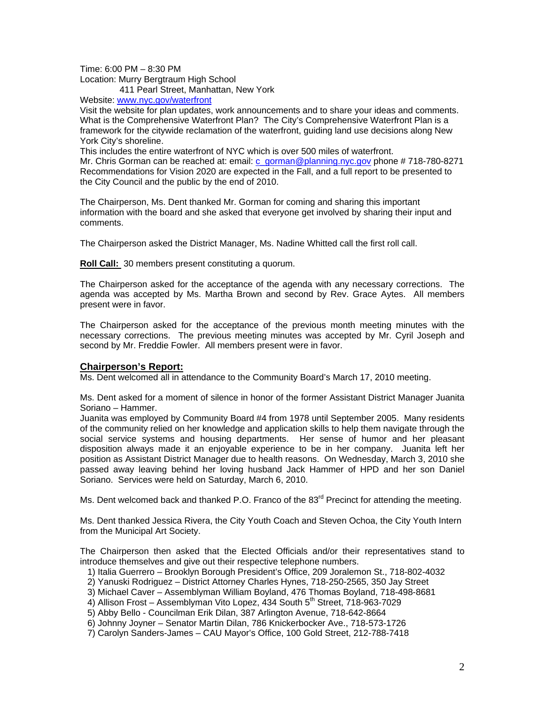Time: 6:00 PM – 8:30 PM Location: Murry Bergtraum High School 411 Pearl Street, Manhattan, New York

Website: www.nyc.gov/waterfront

Visit the website for plan updates, work announcements and to share your ideas and comments. What is the Comprehensive Waterfront Plan? The City's Comprehensive Waterfront Plan is a framework for the citywide reclamation of the waterfront, guiding land use decisions along New York City's shoreline.

This includes the entire waterfront of NYC which is over 500 miles of waterfront. Mr. Chris Gorman can be reached at: email: c\_gorman@planning.nyc.gov phone # 718-780-8271 Recommendations for Vision 2020 are expected in the Fall, and a full report to be presented to the City Council and the public by the end of 2010.

The Chairperson, Ms. Dent thanked Mr. Gorman for coming and sharing this important information with the board and she asked that everyone get involved by sharing their input and comments.

The Chairperson asked the District Manager, Ms. Nadine Whitted call the first roll call.

**Roll Call:** 30 members present constituting a quorum.

The Chairperson asked for the acceptance of the agenda with any necessary corrections. The agenda was accepted by Ms. Martha Brown and second by Rev. Grace Aytes. All members present were in favor.

The Chairperson asked for the acceptance of the previous month meeting minutes with the necessary corrections. The previous meeting minutes was accepted by Mr. Cyril Joseph and second by Mr. Freddie Fowler. All members present were in favor.

# **Chairperson's Report:**

Ms. Dent welcomed all in attendance to the Community Board's March 17, 2010 meeting.

Ms. Dent asked for a moment of silence in honor of the former Assistant District Manager Juanita Soriano – Hammer.

Juanita was employed by Community Board #4 from 1978 until September 2005. Many residents of the community relied on her knowledge and application skills to help them navigate through the social service systems and housing departments. Her sense of humor and her pleasant disposition always made it an enjoyable experience to be in her company. Juanita left her position as Assistant District Manager due to health reasons. On Wednesday, March 3, 2010 she passed away leaving behind her loving husband Jack Hammer of HPD and her son Daniel Soriano. Services were held on Saturday, March 6, 2010.

Ms. Dent welcomed back and thanked P.O. Franco of the  $83<sup>rd</sup>$  Precinct for attending the meeting.

Ms. Dent thanked Jessica Rivera, the City Youth Coach and Steven Ochoa, the City Youth Intern from the Municipal Art Society.

The Chairperson then asked that the Elected Officials and/or their representatives stand to introduce themselves and give out their respective telephone numbers.

1) Italia Guerrero – Brooklyn Borough President's Office, 209 Joralemon St., 718-802-4032

2) Yanuski Rodriguez – District Attorney Charles Hynes, 718-250-2565, 350 Jay Street

3) Michael Caver – Assemblyman William Boyland, 476 Thomas Boyland, 718-498-8681

4) Allison Frost – Assemblyman Vito Lopez, 434 South 5<sup>th</sup> Street, 718-963-7029

5) Abby Bello - Councilman Erik Dilan, 387 Arlington Avenue, 718-642-8664

6) Johnny Joyner – Senator Martin Dilan, 786 Knickerbocker Ave., 718-573-1726

7) Carolyn Sanders-James – CAU Mayor's Office, 100 Gold Street, 212-788-7418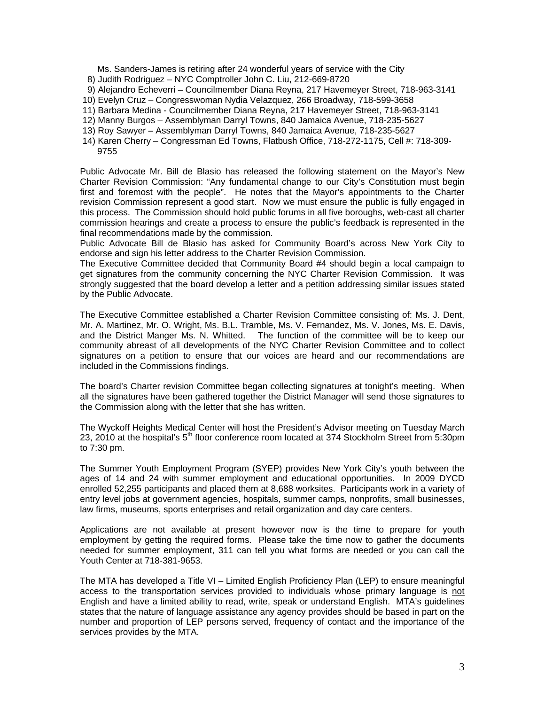Ms. Sanders-James is retiring after 24 wonderful years of service with the City

- 8) Judith Rodriguez NYC Comptroller John C. Liu, 212-669-8720
- 9) Alejandro Echeverri Councilmember Diana Reyna, 217 Havemeyer Street, 718-963-3141
- 10) Evelyn Cruz Congresswoman Nydia Velazquez, 266 Broadway, 718-599-3658
- 11) Barbara Medina Councilmember Diana Reyna, 217 Havemeyer Street, 718-963-3141
- 12) Manny Burgos Assemblyman Darryl Towns, 840 Jamaica Avenue, 718-235-5627
- 13) Roy Sawyer Assemblyman Darryl Towns, 840 Jamaica Avenue, 718-235-5627
- 14) Karen Cherry Congressman Ed Towns, Flatbush Office, 718-272-1175, Cell #: 718-309- 9755

Public Advocate Mr. Bill de Blasio has released the following statement on the Mayor's New Charter Revision Commission: "Any fundamental change to our City's Constitution must begin first and foremost with the people". He notes that the Mayor's appointments to the Charter revision Commission represent a good start. Now we must ensure the public is fully engaged in this process. The Commission should hold public forums in all five boroughs, web-cast all charter commission hearings and create a process to ensure the public's feedback is represented in the final recommendations made by the commission.

Public Advocate Bill de Blasio has asked for Community Board's across New York City to endorse and sign his letter address to the Charter Revision Commission.

The Executive Committee decided that Community Board #4 should begin a local campaign to get signatures from the community concerning the NYC Charter Revision Commission. It was strongly suggested that the board develop a letter and a petition addressing similar issues stated by the Public Advocate.

The Executive Committee established a Charter Revision Committee consisting of: Ms. J. Dent, Mr. A. Martinez, Mr. O. Wright, Ms. B.L. Tramble, Ms. V. Fernandez, Ms. V. Jones, Ms. E. Davis, and the District Manger Ms. N. Whitted. The function of the committee will be to keep our community abreast of all developments of the NYC Charter Revision Committee and to collect signatures on a petition to ensure that our voices are heard and our recommendations are included in the Commissions findings.

The board's Charter revision Committee began collecting signatures at tonight's meeting. When all the signatures have been gathered together the District Manager will send those signatures to the Commission along with the letter that she has written.

The Wyckoff Heights Medical Center will host the President's Advisor meeting on Tuesday March 23, 2010 at the hospital's  $5<sup>th</sup>$  floor conference room located at 374 Stockholm Street from 5:30pm to 7:30 pm.

The Summer Youth Employment Program (SYEP) provides New York City's youth between the ages of 14 and 24 with summer employment and educational opportunities. In 2009 DYCD enrolled 52,255 participants and placed them at 8,688 worksites. Participants work in a variety of entry level jobs at government agencies, hospitals, summer camps, nonprofits, small businesses, law firms, museums, sports enterprises and retail organization and day care centers.

Applications are not available at present however now is the time to prepare for youth employment by getting the required forms. Please take the time now to gather the documents needed for summer employment, 311 can tell you what forms are needed or you can call the Youth Center at 718-381-9653.

The MTA has developed a Title VI – Limited English Proficiency Plan (LEP) to ensure meaningful access to the transportation services provided to individuals whose primary language is not English and have a limited ability to read, write, speak or understand English. MTA's guidelines states that the nature of language assistance any agency provides should be based in part on the number and proportion of LEP persons served, frequency of contact and the importance of the services provides by the MTA.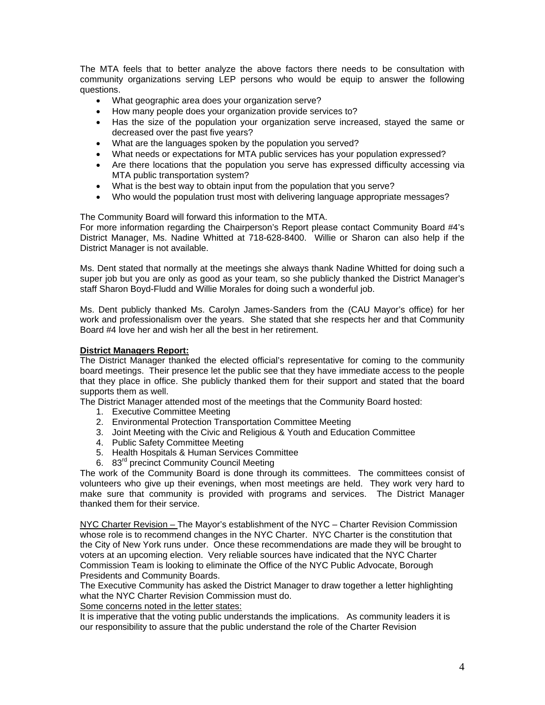The MTA feels that to better analyze the above factors there needs to be consultation with community organizations serving LEP persons who would be equip to answer the following questions.

- What geographic area does your organization serve?
- How many people does your organization provide services to?
- Has the size of the population your organization serve increased, stayed the same or decreased over the past five years?
- What are the languages spoken by the population you served?
- What needs or expectations for MTA public services has your population expressed?
- Are there locations that the population you serve has expressed difficulty accessing via MTA public transportation system?
- What is the best way to obtain input from the population that you serve?
- Who would the population trust most with delivering language appropriate messages?

The Community Board will forward this information to the MTA.

For more information regarding the Chairperson's Report please contact Community Board #4's District Manager, Ms. Nadine Whitted at 718-628-8400. Willie or Sharon can also help if the District Manager is not available.

Ms. Dent stated that normally at the meetings she always thank Nadine Whitted for doing such a super job but you are only as good as your team, so she publicly thanked the District Manager's staff Sharon Boyd-Fludd and Willie Morales for doing such a wonderful job.

Ms. Dent publicly thanked Ms. Carolyn James-Sanders from the (CAU Mayor's office) for her work and professionalism over the years. She stated that she respects her and that Community Board #4 love her and wish her all the best in her retirement.

### **District Managers Report:**

The District Manager thanked the elected official's representative for coming to the community board meetings. Their presence let the public see that they have immediate access to the people that they place in office. She publicly thanked them for their support and stated that the board supports them as well.

The District Manager attended most of the meetings that the Community Board hosted:

- 1. Executive Committee Meeting
- 2. Environmental Protection Transportation Committee Meeting
- 3. Joint Meeting with the Civic and Religious & Youth and Education Committee
- 4. Public Safety Committee Meeting
- 5. Health Hospitals & Human Services Committee
- 6. 83rd precinct Community Council Meeting

The work of the Community Board is done through its committees. The committees consist of volunteers who give up their evenings, when most meetings are held. They work very hard to make sure that community is provided with programs and services. The District Manager thanked them for their service.

NYC Charter Revision – The Mayor's establishment of the NYC – Charter Revision Commission whose role is to recommend changes in the NYC Charter. NYC Charter is the constitution that the City of New York runs under. Once these recommendations are made they will be brought to voters at an upcoming election. Very reliable sources have indicated that the NYC Charter Commission Team is looking to eliminate the Office of the NYC Public Advocate, Borough Presidents and Community Boards.

The Executive Community has asked the District Manager to draw together a letter highlighting what the NYC Charter Revision Commission must do.

Some concerns noted in the letter states:

It is imperative that the voting public understands the implications. As community leaders it is our responsibility to assure that the public understand the role of the Charter Revision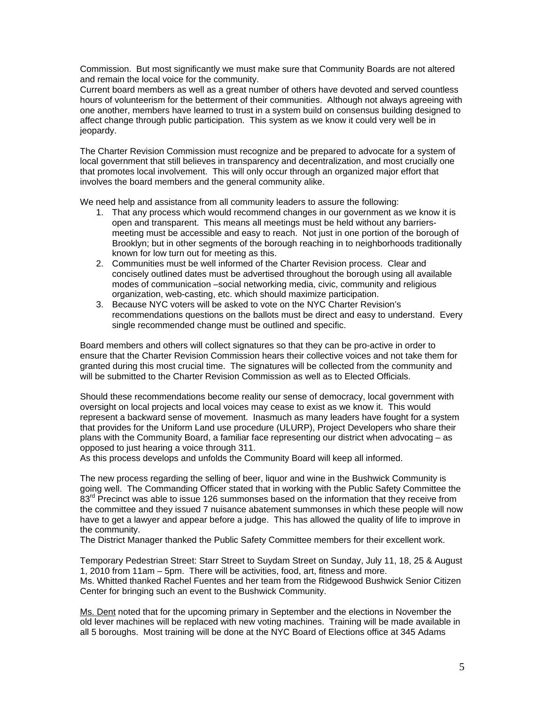Commission. But most significantly we must make sure that Community Boards are not altered and remain the local voice for the community.

Current board members as well as a great number of others have devoted and served countless hours of volunteerism for the betterment of their communities. Although not always agreeing with one another, members have learned to trust in a system build on consensus building designed to affect change through public participation. This system as we know it could very well be in jeopardy.

The Charter Revision Commission must recognize and be prepared to advocate for a system of local government that still believes in transparency and decentralization, and most crucially one that promotes local involvement. This will only occur through an organized major effort that involves the board members and the general community alike.

We need help and assistance from all community leaders to assure the following:

- 1. That any process which would recommend changes in our government as we know it is open and transparent. This means all meetings must be held without any barriersmeeting must be accessible and easy to reach. Not just in one portion of the borough of Brooklyn; but in other segments of the borough reaching in to neighborhoods traditionally known for low turn out for meeting as this.
- 2. Communities must be well informed of the Charter Revision process. Clear and concisely outlined dates must be advertised throughout the borough using all available modes of communication –social networking media, civic, community and religious organization, web-casting, etc. which should maximize participation.
- 3. Because NYC voters will be asked to vote on the NYC Charter Revision's recommendations questions on the ballots must be direct and easy to understand. Every single recommended change must be outlined and specific.

Board members and others will collect signatures so that they can be pro-active in order to ensure that the Charter Revision Commission hears their collective voices and not take them for granted during this most crucial time. The signatures will be collected from the community and will be submitted to the Charter Revision Commission as well as to Elected Officials.

Should these recommendations become reality our sense of democracy, local government with oversight on local projects and local voices may cease to exist as we know it. This would represent a backward sense of movement. Inasmuch as many leaders have fought for a system that provides for the Uniform Land use procedure (ULURP), Project Developers who share their plans with the Community Board, a familiar face representing our district when advocating – as opposed to just hearing a voice through 311.

As this process develops and unfolds the Community Board will keep all informed.

The new process regarding the selling of beer, liquor and wine in the Bushwick Community is going well. The Commanding Officer stated that in working with the Public Safety Committee the 83<sup>rd</sup> Precinct was able to issue 126 summonses based on the information that they receive from the committee and they issued 7 nuisance abatement summonses in which these people will now have to get a lawyer and appear before a judge. This has allowed the quality of life to improve in the community.

The District Manager thanked the Public Safety Committee members for their excellent work.

Temporary Pedestrian Street: Starr Street to Suydam Street on Sunday, July 11, 18, 25 & August 1, 2010 from 11am – 5pm. There will be activities, food, art, fitness and more. Ms. Whitted thanked Rachel Fuentes and her team from the Ridgewood Bushwick Senior Citizen Center for bringing such an event to the Bushwick Community.

Ms. Dent noted that for the upcoming primary in September and the elections in November the old lever machines will be replaced with new voting machines. Training will be made available in all 5 boroughs. Most training will be done at the NYC Board of Elections office at 345 Adams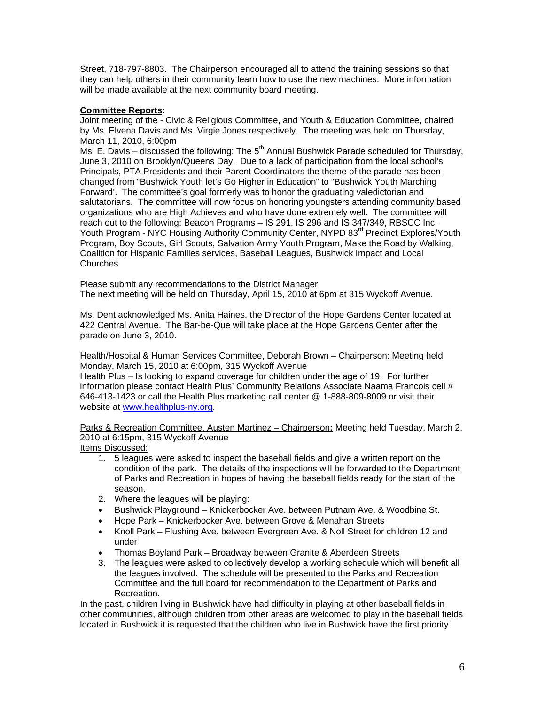Street, 718-797-8803. The Chairperson encouraged all to attend the training sessions so that they can help others in their community learn how to use the new machines. More information will be made available at the next community board meeting.

# **Committee Reports:**

Joint meeting of the - Civic & Religious Committee, and Youth & Education Committee, chaired by Ms. Elvena Davis and Ms. Virgie Jones respectively. The meeting was held on Thursday, March 11, 2010, 6:00pm

Ms. E. Davis – discussed the following: The  $5<sup>th</sup>$  Annual Bushwick Parade scheduled for Thursday, June 3, 2010 on Brooklyn/Queens Day. Due to a lack of participation from the local school's Principals, PTA Presidents and their Parent Coordinators the theme of the parade has been changed from "Bushwick Youth let's Go Higher in Education" to "Bushwick Youth Marching Forward'. The committee's goal formerly was to honor the graduating valedictorian and salutatorians. The committee will now focus on honoring youngsters attending community based organizations who are High Achieves and who have done extremely well. The committee will reach out to the following: Beacon Programs – IS 291, IS 296 and IS 347/349, RBSCC Inc. Youth Program - NYC Housing Authority Community Center, NYPD 83<sup>rd</sup> Precinct Explores/Youth Program, Boy Scouts, Girl Scouts, Salvation Army Youth Program, Make the Road by Walking, Coalition for Hispanic Families services, Baseball Leagues, Bushwick Impact and Local Churches.

Please submit any recommendations to the District Manager. The next meeting will be held on Thursday, April 15, 2010 at 6pm at 315 Wyckoff Avenue.

Ms. Dent acknowledged Ms. Anita Haines, the Director of the Hope Gardens Center located at 422 Central Avenue. The Bar-be-Que will take place at the Hope Gardens Center after the parade on June 3, 2010.

Health/Hospital & Human Services Committee, Deborah Brown – Chairperson: Meeting held Monday, March 15, 2010 at 6:00pm, 315 Wyckoff Avenue Health Plus – Is looking to expand coverage for children under the age of 19. For further information please contact Health Plus' Community Relations Associate Naama Francois cell # 646-413-1423 or call the Health Plus marketing call center @ 1-888-809-8009 or visit their website at www.healthplus-ny.org.

Parks & Recreation Committee, Austen Martinez – Chairperson**:** Meeting held Tuesday, March 2, 2010 at 6:15pm, 315 Wyckoff Avenue

Items Discussed:

- 1. 5 leagues were asked to inspect the baseball fields and give a written report on the condition of the park. The details of the inspections will be forwarded to the Department of Parks and Recreation in hopes of having the baseball fields ready for the start of the season.
- 2. Where the leagues will be playing:
- Bushwick Playground Knickerbocker Ave. between Putnam Ave. & Woodbine St.
- Hope Park Knickerbocker Ave. between Grove & Menahan Streets
- Knoll Park Flushing Ave. between Evergreen Ave. & Noll Street for children 12 and under
- Thomas Boyland Park Broadway between Granite & Aberdeen Streets
- 3. The leagues were asked to collectively develop a working schedule which will benefit all the leagues involved. The schedule will be presented to the Parks and Recreation Committee and the full board for recommendation to the Department of Parks and Recreation.

In the past, children living in Bushwick have had difficulty in playing at other baseball fields in other communities, although children from other areas are welcomed to play in the baseball fields located in Bushwick it is requested that the children who live in Bushwick have the first priority.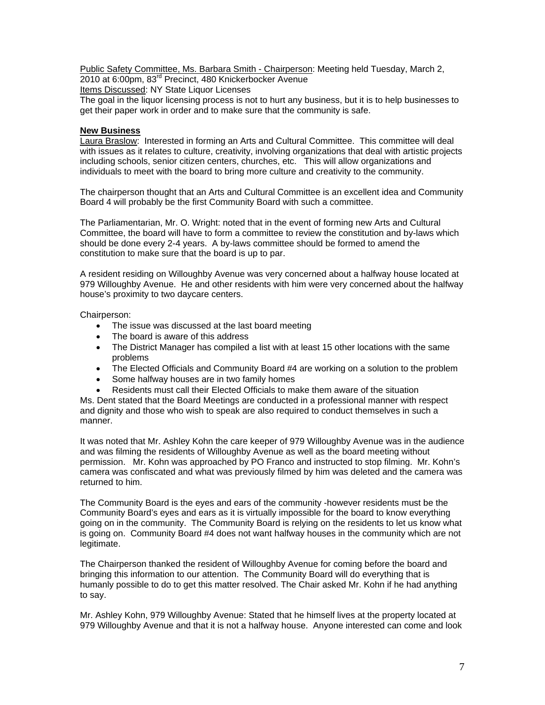Public Safety Committee, Ms. Barbara Smith - Chairperson: Meeting held Tuesday, March 2, 2010 at 6:00pm, 83rd Precinct, 480 Knickerbocker Avenue

Items Discussed: NY State Liquor Licenses

The goal in the liquor licensing process is not to hurt any business, but it is to help businesses to get their paper work in order and to make sure that the community is safe.

## **New Business**

Laura Braslow: Interested in forming an Arts and Cultural Committee. This committee will deal with issues as it relates to culture, creativity, involving organizations that deal with artistic projects including schools, senior citizen centers, churches, etc. This will allow organizations and individuals to meet with the board to bring more culture and creativity to the community.

The chairperson thought that an Arts and Cultural Committee is an excellent idea and Community Board 4 will probably be the first Community Board with such a committee.

The Parliamentarian, Mr. O. Wright: noted that in the event of forming new Arts and Cultural Committee, the board will have to form a committee to review the constitution and by-laws which should be done every 2-4 years. A by-laws committee should be formed to amend the constitution to make sure that the board is up to par.

A resident residing on Willoughby Avenue was very concerned about a halfway house located at 979 Willoughby Avenue. He and other residents with him were very concerned about the halfway house's proximity to two daycare centers.

Chairperson:

- The issue was discussed at the last board meeting
- The board is aware of this address
- The District Manager has compiled a list with at least 15 other locations with the same problems
- The Elected Officials and Community Board #4 are working on a solution to the problem
- Some halfway houses are in two family homes
- Residents must call their Elected Officials to make them aware of the situation

Ms. Dent stated that the Board Meetings are conducted in a professional manner with respect and dignity and those who wish to speak are also required to conduct themselves in such a manner.

It was noted that Mr. Ashley Kohn the care keeper of 979 Willoughby Avenue was in the audience and was filming the residents of Willoughby Avenue as well as the board meeting without permission. Mr. Kohn was approached by PO Franco and instructed to stop filming. Mr. Kohn's camera was confiscated and what was previously filmed by him was deleted and the camera was returned to him.

The Community Board is the eyes and ears of the community -however residents must be the Community Board's eyes and ears as it is virtually impossible for the board to know everything going on in the community. The Community Board is relying on the residents to let us know what is going on. Community Board #4 does not want halfway houses in the community which are not legitimate.

The Chairperson thanked the resident of Willoughby Avenue for coming before the board and bringing this information to our attention. The Community Board will do everything that is humanly possible to do to get this matter resolved. The Chair asked Mr. Kohn if he had anything to say.

Mr. Ashley Kohn, 979 Willoughby Avenue: Stated that he himself lives at the property located at 979 Willoughby Avenue and that it is not a halfway house. Anyone interested can come and look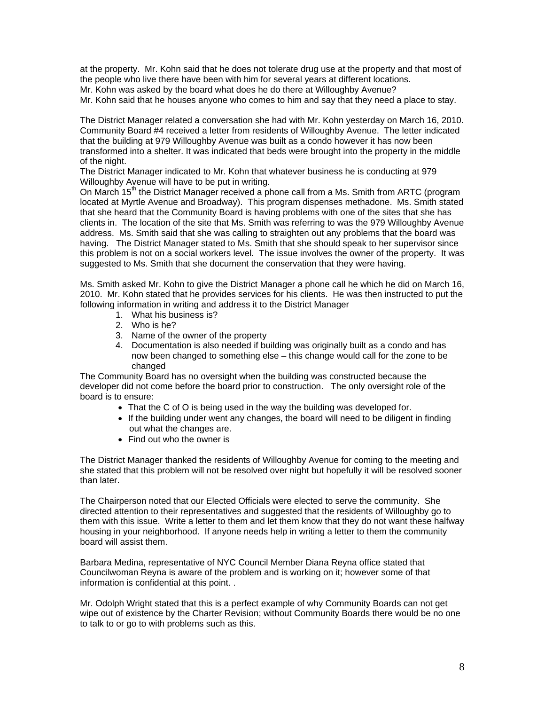at the property. Mr. Kohn said that he does not tolerate drug use at the property and that most of the people who live there have been with him for several years at different locations.

Mr. Kohn was asked by the board what does he do there at Willoughby Avenue?

Mr. Kohn said that he houses anyone who comes to him and say that they need a place to stay.

The District Manager related a conversation she had with Mr. Kohn yesterday on March 16, 2010. Community Board #4 received a letter from residents of Willoughby Avenue. The letter indicated that the building at 979 Willoughby Avenue was built as a condo however it has now been transformed into a shelter. It was indicated that beds were brought into the property in the middle of the night.

The District Manager indicated to Mr. Kohn that whatever business he is conducting at 979 Willoughby Avenue will have to be put in writing.

On March  $15<sup>th</sup>$  the District Manager received a phone call from a Ms. Smith from ARTC (program located at Myrtle Avenue and Broadway). This program dispenses methadone. Ms. Smith stated that she heard that the Community Board is having problems with one of the sites that she has clients in. The location of the site that Ms. Smith was referring to was the 979 Willoughby Avenue address. Ms. Smith said that she was calling to straighten out any problems that the board was having. The District Manager stated to Ms. Smith that she should speak to her supervisor since this problem is not on a social workers level. The issue involves the owner of the property. It was suggested to Ms. Smith that she document the conservation that they were having.

Ms. Smith asked Mr. Kohn to give the District Manager a phone call he which he did on March 16, 2010. Mr. Kohn stated that he provides services for his clients. He was then instructed to put the following information in writing and address it to the District Manager

- 1. What his business is?
- 2. Who is he?
- 3. Name of the owner of the property
- 4. Documentation is also needed if building was originally built as a condo and has now been changed to something else – this change would call for the zone to be changed

The Community Board has no oversight when the building was constructed because the developer did not come before the board prior to construction. The only oversight role of the board is to ensure:

- That the C of O is being used in the way the building was developed for.
- If the building under went any changes, the board will need to be diligent in finding out what the changes are.
- Find out who the owner is

The District Manager thanked the residents of Willoughby Avenue for coming to the meeting and she stated that this problem will not be resolved over night but hopefully it will be resolved sooner than later.

The Chairperson noted that our Elected Officials were elected to serve the community. She directed attention to their representatives and suggested that the residents of Willoughby go to them with this issue. Write a letter to them and let them know that they do not want these halfway housing in your neighborhood. If anyone needs help in writing a letter to them the community board will assist them.

Barbara Medina, representative of NYC Council Member Diana Reyna office stated that Councilwoman Reyna is aware of the problem and is working on it; however some of that information is confidential at this point. .

Mr. Odolph Wright stated that this is a perfect example of why Community Boards can not get wipe out of existence by the Charter Revision; without Community Boards there would be no one to talk to or go to with problems such as this.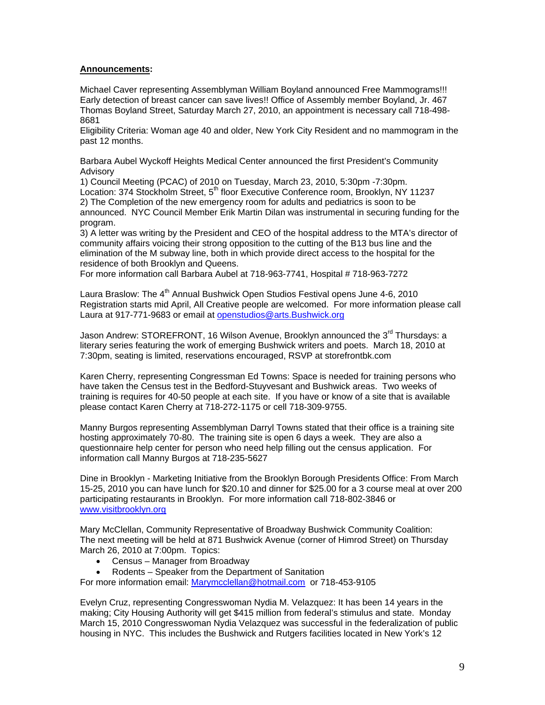# **Announcements:**

Michael Caver representing Assemblyman William Boyland announced Free Mammograms!!! Early detection of breast cancer can save lives!! Office of Assembly member Boyland, Jr. 467 Thomas Boyland Street, Saturday March 27, 2010, an appointment is necessary call 718-498- 8681

Eligibility Criteria: Woman age 40 and older, New York City Resident and no mammogram in the past 12 months.

Barbara Aubel Wyckoff Heights Medical Center announced the first President's Community Advisory

1) Council Meeting (PCAC) of 2010 on Tuesday, March 23, 2010, 5:30pm -7:30pm. Location: 374 Stockholm Street, 5<sup>th</sup> floor Executive Conference room, Brooklyn, NY 11237 2) The Completion of the new emergency room for adults and pediatrics is soon to be announced. NYC Council Member Erik Martin Dilan was instrumental in securing funding for the program.

3) A letter was writing by the President and CEO of the hospital address to the MTA's director of community affairs voicing their strong opposition to the cutting of the B13 bus line and the elimination of the M subway line, both in which provide direct access to the hospital for the residence of both Brooklyn and Queens.

For more information call Barbara Aubel at 718-963-7741, Hospital # 718-963-7272

Laura Braslow: The 4<sup>th</sup> Annual Bushwick Open Studios Festival opens June 4-6, 2010 Registration starts mid April, All Creative people are welcomed. For more information please call Laura at 917-771-9683 or email at openstudios@arts.Bushwick.org

Jason Andrew: STOREFRONT, 16 Wilson Avenue, Brooklyn announced the 3<sup>rd</sup> Thursdavs: a literary series featuring the work of emerging Bushwick writers and poets. March 18, 2010 at 7:30pm, seating is limited, reservations encouraged, RSVP at storefrontbk.com

Karen Cherry, representing Congressman Ed Towns: Space is needed for training persons who have taken the Census test in the Bedford-Stuyvesant and Bushwick areas. Two weeks of training is requires for 40-50 people at each site. If you have or know of a site that is available please contact Karen Cherry at 718-272-1175 or cell 718-309-9755.

Manny Burgos representing Assemblyman Darryl Towns stated that their office is a training site hosting approximately 70-80. The training site is open 6 days a week. They are also a questionnaire help center for person who need help filling out the census application. For information call Manny Burgos at 718-235-5627

Dine in Brooklyn - Marketing Initiative from the Brooklyn Borough Presidents Office: From March 15-25, 2010 you can have lunch for \$20.10 and dinner for \$25.00 for a 3 course meal at over 200 participating restaurants in Brooklyn. For more information call 718-802-3846 or www.visitbrooklyn.org

Mary McClellan, Community Representative of Broadway Bushwick Community Coalition: The next meeting will be held at 871 Bushwick Avenue (corner of Himrod Street) on Thursday March 26, 2010 at 7:00pm. Topics:

- Census Manager from Broadway
- Rodents Speaker from the Department of Sanitation

For more information email: Marymcclellan@hotmail.com or 718-453-9105

Evelyn Cruz, representing Congresswoman Nydia M. Velazquez: It has been 14 years in the making; City Housing Authority will get \$415 million from federal's stimulus and state. Monday March 15, 2010 Congresswoman Nydia Velazquez was successful in the federalization of public housing in NYC. This includes the Bushwick and Rutgers facilities located in New York's 12